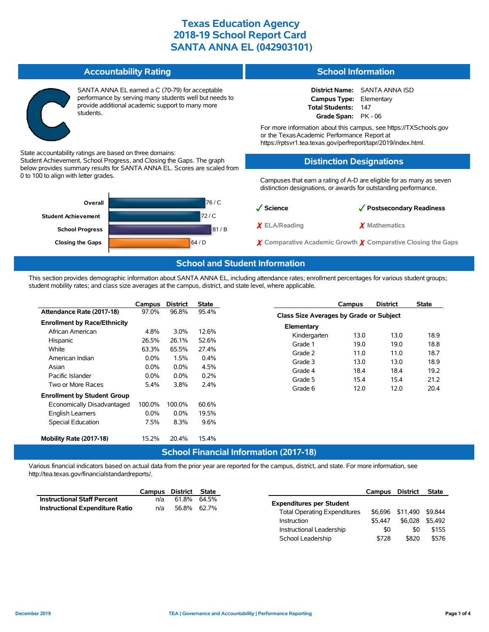| <b>Accountability Rating</b>                                                                                                                                               | <b>School Information</b>                                                                                                                                                          |  |  |  |  |
|----------------------------------------------------------------------------------------------------------------------------------------------------------------------------|------------------------------------------------------------------------------------------------------------------------------------------------------------------------------------|--|--|--|--|
| SANTA ANNA EL earned a C (70-79) for acceptable<br>performance by serving many students well but needs to<br>provide additional academic support to many more<br>students. | <b>District Name:</b> SANTA ANNA ISD<br>Campus Type: Elementary<br><b>Total Students:</b><br>147<br>Grade Span: PK - 06                                                            |  |  |  |  |
|                                                                                                                                                                            | For more information about this campus, see https://TXSchools.gov<br>or the Texas Academic Performance Report at<br>https://rptsvr1.tea.texas.gov/perfreport/tapr/2019/index.html. |  |  |  |  |

State accountability ratings are based on three domains:

Student Achievement, School Progress, and Closing the Gaps. The graph below provides summary results for SANTA ANNA EL. Scores are scaled from 0 to 100 to align with letter grades.



# **Distinction Designations**

Campuses that earn a rating of A-D are eligible for as many as seven distinction designations, or awards for outstanding performance.

| $\sqrt{\phantom{a}}$ Science | √ Postsecondary Readiness                                              |
|------------------------------|------------------------------------------------------------------------|
| $\chi$ ELA/Reading           | X Mathematics                                                          |
|                              | $\chi$ Comparative Academic Growth $\chi$ Comparative Closing the Gaps |

School Leadership  $$728$  \$820 \$576

### **School and Student Information**

This section provides demographic information about SANTA ANNA EL, including attendance rates; enrollment percentages for various student groups; student mobility rates; and class size averages at the campus, district, and state level, where applicable.

|                                     | Campus  | <b>District</b> | <b>State</b> |                                               | Campus | <b>District</b> | <b>State</b> |
|-------------------------------------|---------|-----------------|--------------|-----------------------------------------------|--------|-----------------|--------------|
| Attendance Rate (2017-18)           | 97.0%   | 96.8%           | 95.4%        | Class Size Averages by Grade or Subject       |        |                 |              |
| <b>Enrollment by Race/Ethnicity</b> |         |                 |              | Elementary                                    |        |                 |              |
| African American                    | 4.8%    | 3.0%            | 12.6%        | Kindergarten                                  | 13.0   | 13.0            | 18.9         |
| Hispanic                            | 26.5%   | 26.1%           | 52.6%        |                                               |        |                 |              |
| White                               | 63.3%   | 65.5%           | 27.4%        | Grade 1                                       | 19.0   | 19.0            | 18.8         |
| American Indian                     | $0.0\%$ | 1.5%            | 0.4%         | Grade 2                                       | 11.0   | 11.0            | 18.7         |
| Asian                               | $0.0\%$ | $0.0\%$         | 4.5%         | Grade 3                                       | 13.0   | 13.0            | 18.9         |
| Pacific Islander                    | $0.0\%$ | $0.0\%$         | 0.2%         | Grade 4                                       | 18.4   | 18.4            | 19.2         |
| Two or More Races                   | 5.4%    | 3.8%            | 2.4%         | Grade 5                                       | 15.4   | 15.4            | 21.2         |
|                                     |         |                 |              | Grade 6                                       | 12.0   | 12.0            | 20.4         |
| <b>Enrollment by Student Group</b>  |         |                 |              |                                               |        |                 |              |
| Economically Disadvantaged          | 100.0%  | 100.0%          | 60.6%        |                                               |        |                 |              |
| English Learners                    | $0.0\%$ | $0.0\%$         | 19.5%        |                                               |        |                 |              |
| Special Education                   | 7.5%    | 8.3%            | 9.6%         |                                               |        |                 |              |
| Mobility Rate (2017-18)             | 15.2%   | 20.4%           | 15.4%        |                                               |        |                 |              |
|                                     |         |                 |              | <b>School Financial Information (2017-18)</b> |        |                 |              |

Various financial indicators based on actual data from the prior year are reported for the campus, district, and state. For more information, see http://tea.texas.gov/financialstandardreports/.

|                                    | Campus | District       | State       |                                     | Campus  | <b>District</b>          | State   |
|------------------------------------|--------|----------------|-------------|-------------------------------------|---------|--------------------------|---------|
| <b>Instructional Staff Percent</b> | n/a    | 61.8%          | 64.5%       | <b>Expenditures per Student</b>     |         |                          |         |
| Instructional Expenditure Ratio    | n/a    | 56.8%<br>62.7% |             | <b>Total Operating Expenditures</b> |         | \$6,696 \$11,490 \$9,844 |         |
|                                    |        |                | Instruction |                                     | \$5.447 | \$6.028                  | \$5.492 |
|                                    |        |                |             | Instructional Leadership            | \$0     | \$0                      | \$155   |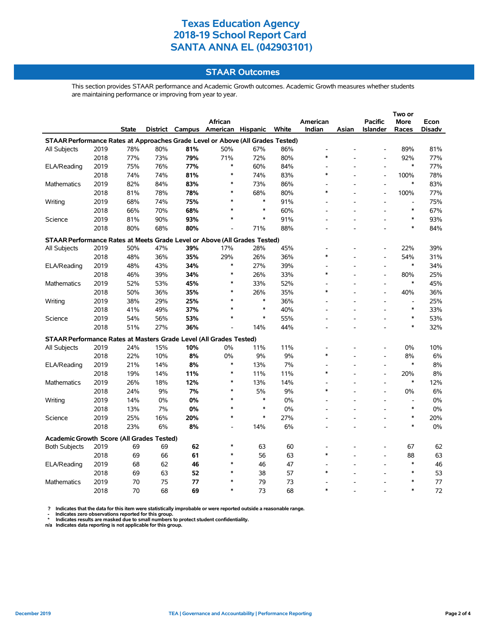### **STAAR Outcomes**

This section provides STAAR performance and Academic Growth outcomes. Academic Growth measures whether students are maintaining performance or improving from year to year.

|                                                                                |      |       |     |     | African                           |        |       | American                 |       | <b>Pacific</b>           | <b>More</b>    | Econ          |
|--------------------------------------------------------------------------------|------|-------|-----|-----|-----------------------------------|--------|-------|--------------------------|-------|--------------------------|----------------|---------------|
|                                                                                |      | State |     |     | District Campus American Hispanic |        | White | Indian                   | Asian | <b>Islander</b>          | Races          | <b>Disadv</b> |
| STAAR Performance Rates at Approaches Grade Level or Above (All Grades Tested) |      |       |     |     |                                   |        |       |                          |       |                          |                |               |
| <b>All Subjects</b>                                                            | 2019 | 78%   | 80% | 81% | 50%                               | 67%    | 86%   | $\overline{\phantom{a}}$ |       |                          | 89%            | 81%           |
|                                                                                | 2018 | 77%   | 73% | 79% | 71%                               | 72%    | 80%   | $\ast$                   |       |                          | 92%            | 77%           |
| ELA/Reading                                                                    | 2019 | 75%   | 76% | 77% | $\ast$                            | 60%    | 84%   |                          |       | $\overline{a}$           | $\ast$         | 77%           |
|                                                                                | 2018 | 74%   | 74% | 81% | $\ast$                            | 74%    | 83%   | $\ast$                   |       | $\blacksquare$           | 100%           | 78%           |
| Mathematics                                                                    | 2019 | 82%   | 84% | 83% | $\ast$                            | 73%    | 86%   |                          |       | $\overline{\phantom{a}}$ | $\ast$         | 83%           |
|                                                                                | 2018 | 81%   | 78% | 78% | ∗                                 | 68%    | 80%   | $\ast$                   |       | $\overline{\phantom{a}}$ | 100%           | 77%           |
| Writing                                                                        | 2019 | 68%   | 74% | 75% | $\ast$                            | $\ast$ | 91%   |                          |       |                          | $\overline{a}$ | 75%           |
|                                                                                | 2018 | 66%   | 70% | 68% | $\ast$                            | $\ast$ | 60%   |                          |       |                          | $\ast$         | 67%           |
| Science                                                                        | 2019 | 81%   | 90% | 93% | $\ast$                            | $\ast$ | 91%   |                          |       |                          | $\ast$         | 93%           |
|                                                                                | 2018 | 80%   | 68% | 80% |                                   | 71%    | 88%   |                          |       |                          | $\ast$         | 84%           |
| STAAR Performance Rates at Meets Grade Level or Above (All Grades Tested)      |      |       |     |     |                                   |        |       |                          |       |                          |                |               |
| All Subjects                                                                   | 2019 | 50%   | 47% | 39% | 17%                               | 28%    | 45%   |                          |       |                          | 22%            | 39%           |
|                                                                                | 2018 | 48%   | 36% | 35% | 29%                               | 26%    | 36%   | $\ast$                   |       | $\overline{\phantom{a}}$ | 54%            | 31%           |
| ELA/Reading                                                                    | 2019 | 48%   | 43% | 34% | $\ast$                            | 27%    | 39%   |                          |       | $\overline{a}$           | $\ast$         | 34%           |
|                                                                                | 2018 | 46%   | 39% | 34% | $\ast$                            | 26%    | 33%   | $\ast$                   |       | $\overline{a}$           | 80%            | 25%           |
| Mathematics                                                                    | 2019 | 52%   | 53% | 45% | $\ast$                            | 33%    | 52%   |                          |       | $\blacksquare$           | $\ast$         | 45%           |
|                                                                                | 2018 | 50%   | 36% | 35% | $\ast$                            | 26%    | 35%   | $\ast$                   |       | $\blacksquare$           | 40%            | 36%           |
| Writing                                                                        | 2019 | 38%   | 29% | 25% | $\ast$                            | $\ast$ | 36%   |                          |       |                          |                | 25%           |
|                                                                                | 2018 | 41%   | 49% | 37% | $\ast$                            | $\ast$ | 40%   |                          |       |                          | $\ast$         | 33%           |
| Science                                                                        | 2019 | 54%   | 56% | 53% | $\ast$                            | $\ast$ | 55%   |                          |       | $\overline{\phantom{a}}$ | $\ast$         | 53%           |
|                                                                                | 2018 | 51%   | 27% | 36% |                                   | 14%    | 44%   |                          |       |                          | $\ast$         | 32%           |
| STAAR Performance Rates at Masters Grade Level (All Grades Tested)             |      |       |     |     |                                   |        |       |                          |       |                          |                |               |
| All Subjects                                                                   | 2019 | 24%   | 15% | 10% | 0%                                | 11%    | 11%   |                          |       |                          | 0%             | 10%           |
|                                                                                | 2018 | 22%   | 10% | 8%  | 0%                                | 9%     | 9%    | $\ast$                   |       | $\blacksquare$           | 8%             | 6%            |
| ELA/Reading                                                                    | 2019 | 21%   | 14% | 8%  | $\ast$                            | 13%    | 7%    |                          |       | $\blacksquare$           | $\ast$         | 8%            |
|                                                                                | 2018 | 19%   | 14% | 11% | $\ast$                            | 11%    | 11%   | *                        |       | $\blacksquare$           | 20%            | 8%            |
| Mathematics                                                                    | 2019 | 26%   | 18% | 12% | $\ast$                            | 13%    | 14%   |                          |       | $\overline{\phantom{a}}$ | $\ast$         | 12%           |
|                                                                                | 2018 | 24%   | 9%  | 7%  | $\ast$                            | 5%     | 9%    | $\ast$                   |       | $\overline{\phantom{a}}$ | 0%             | 6%            |
| Writing                                                                        | 2019 | 14%   | 0%  | 0%  | $\ast$                            | $\ast$ | 0%    |                          |       | $\overline{\phantom{a}}$ | $\overline{a}$ | 0%            |
|                                                                                | 2018 | 13%   | 7%  | 0%  | $\ast$                            | $\ast$ | 0%    |                          |       |                          | $\ast$         | $0\%$         |
| Science                                                                        | 2019 | 25%   | 16% | 20% | $\ast$                            | $\ast$ | 27%   |                          |       |                          | $\ast$         | 20%           |
|                                                                                | 2018 | 23%   | 6%  | 8%  |                                   | 14%    | 6%    |                          |       |                          | $\ast$         | 0%            |
| <b>Academic Growth Score (All Grades Tested)</b>                               |      |       |     |     |                                   |        |       |                          |       |                          |                |               |
| <b>Both Subjects</b>                                                           | 2019 | 69    | 69  | 62  | *                                 | 63     | 60    |                          |       |                          | 67             | 62            |
|                                                                                | 2018 | 69    | 66  | 61  | $\ast$                            | 56     | 63    | $\ast$                   |       | $\overline{\phantom{a}}$ | 88             | 63            |
| ELA/Reading                                                                    | 2019 | 68    | 62  | 46  | $\ast$                            | 46     | 47    |                          |       |                          | $\ast$         | 46            |
|                                                                                | 2018 | 69    | 63  | 52  | $\ast$                            | 38     | 57    | $\ast$                   |       |                          | $\ast$         | 53            |
| Mathematics                                                                    | 2019 | 70    | 75  | 77  | $\ast$                            | 79     | 73    |                          |       |                          | $\ast$         | 77            |
|                                                                                | 2018 | 70    | 68  | 69  | $\ast$                            | 73     | 68    | $\ast$                   |       |                          | $\ast$         | 72            |

? Indicates that the data for this item were statistically improbable or were reported outside a reasonable range.<br>- Indicates zero observations reported for this group.<br>\* Indicates results are masked due to small numbers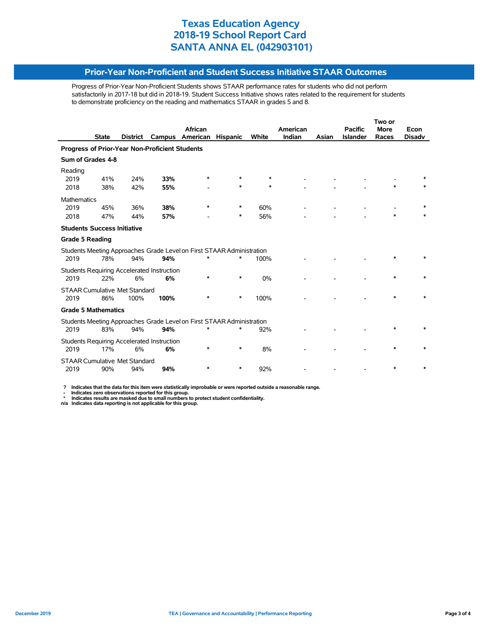#### **Prior-Year Non-Proficient and Student Success Initiative STAAR Outcomes**

Progress of Prior-Year Non-Proficient Students shows STAAR performance rates for students who did not perform satisfactorily in 2017-18 but did in 2018-19. Student Success Initiative shows rates related to the requirement for students to demonstrate proficiency on the reading and mathematics STAAR in grades 5 and 8.

|                                      |              |          |                                                  |                                                                            |                 |        |          |       | Two or          |             |               |  |
|--------------------------------------|--------------|----------|--------------------------------------------------|----------------------------------------------------------------------------|-----------------|--------|----------|-------|-----------------|-------------|---------------|--|
|                                      |              |          |                                                  | African                                                                    |                 |        | American |       | <b>Pacific</b>  | <b>More</b> | Econ          |  |
|                                      | <b>State</b> | District | Campus                                           | American                                                                   | <b>Hispanic</b> | White  | Indian   | Asian | <b>Islander</b> | Races       | <b>Disadv</b> |  |
|                                      |              |          | Progress of Prior-Year Non-Proficient Students   |                                                                            |                 |        |          |       |                 |             |               |  |
| Sum of Grades 4-8                    |              |          |                                                  |                                                                            |                 |        |          |       |                 |             |               |  |
| Reading<br>2019                      | 41%          | 24%      | 33%                                              | *                                                                          |                 | $\ast$ |          |       |                 |             |               |  |
| 2018                                 | 38%          | 42%      | 55%                                              |                                                                            | *               | *      |          |       |                 |             |               |  |
| <b>Mathematics</b>                   |              |          |                                                  |                                                                            |                 |        |          |       |                 |             |               |  |
| 2019                                 | 45%          | 36%      | 38%                                              | *                                                                          | *               | 60%    |          |       |                 |             | $\ast$        |  |
| 2018                                 | 47%          | 44%      | 57%                                              |                                                                            | *               | 56%    |          |       |                 | $\ast$      |               |  |
| <b>Students Success Initiative</b>   |              |          |                                                  |                                                                            |                 |        |          |       |                 |             |               |  |
| <b>Grade 5 Reading</b>               |              |          |                                                  |                                                                            |                 |        |          |       |                 |             |               |  |
| 2019                                 | 78%          | 94%      | 94%                                              | Students Meeting Approaches Grade Level on First STAAR Administration<br>* | *               | 100%   |          |       |                 |             |               |  |
|                                      |              |          | Students Requiring Accelerated Instruction       |                                                                            |                 |        |          |       |                 |             |               |  |
| 2019                                 | 22%          | 6%       | 6%                                               | *                                                                          | *               | 0%     |          |       |                 |             |               |  |
| <b>STAAR Cumulative Met Standard</b> |              |          |                                                  |                                                                            |                 |        |          |       |                 |             |               |  |
| 2019                                 | 86%          | 100%     | 100%                                             | *                                                                          | $\ast$          | 100%   |          |       |                 | $\star$     |               |  |
| <b>Grade 5 Mathematics</b>           |              |          |                                                  |                                                                            |                 |        |          |       |                 |             |               |  |
| 2019                                 | 83%          | 94%      | 94%                                              | Students Meeting Approaches Grade Level on First STAAR Administration<br>* | *               | 92%    |          |       |                 |             |               |  |
|                                      |              |          |                                                  |                                                                            |                 |        |          |       |                 |             |               |  |
| 2019                                 | 17%          | 6%       | Students Requiring Accelerated Instruction<br>6% | *                                                                          | *               | 8%     |          |       |                 | $\ast$      |               |  |
| <b>STAAR Cumulative Met Standard</b> |              |          |                                                  |                                                                            |                 |        |          |       |                 |             |               |  |
| 2019                                 | 90%          | 94%      | 94%                                              |                                                                            | *               | 92%    |          |       |                 | $\ast$      | $\ast$        |  |

 **? Indicates that the data for this item were statistically improbable or were reported outside a reasonable range.**

- Indicates zero observations reported for this group.<br>\* Indicates results are masked due to small numbers to protect student confidentiality.<br>n/a Indicates data reporting is not applicable for this group.

l,